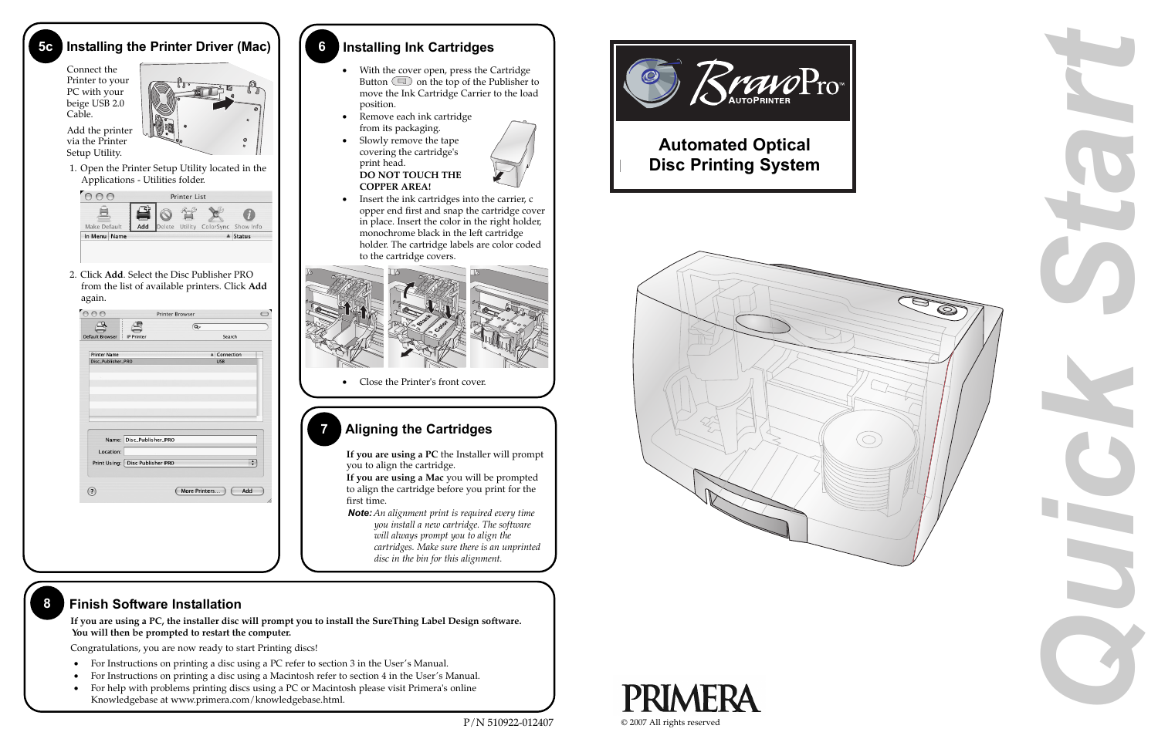



# **7 Aligning the Cartridges**

**If you are using a PC** the Installer will prompt you to align the cartridge.

**If you are using a Mac** you will be prompted to align the cartridge before you print for the first time.

*Note: An alignment print is required every time you install a new cartridge. The software will always prompt you to align the cartridges. Make sure there is an unprinted disc in the bin for this alignment.*

# **6 Installing Ink Cartridges**

- • With the cover open, press the Cartridge Button  $\Box$  on the top of the Publisher to move the Ink Cartridge Carrier to the load position.
- • Remove each ink cartridge from its packaging.
- • Slowly remove the tape covering the cartridge's print head. **DO NOT TOUCH THE COPPER AREA!**







• Insert the ink cartridges into the carrier, c opper end first and snap the cartridge cover in place. Insert the color in the right holder, monochrome black in the left cartridge holder. The cartridge labels are color coded to the cartridge covers.



• Close the Printer's front cover.

### **5c Installing the Printer Driver (Mac)**

## **8 Finish Software Installation**

Connect the Printer to your PC with your beige USB 2.0 Cable.

Add the printer via the Printer Setup Utility.



1. Open the Printer Setup Utility located in the Applications - Utilities folder.



2. Click **Add**. Select the Disc Publisher PRO from the list of available printers. Click **Add** again.

|                                             |                    | <b>Q-</b>     |              |                        |
|---------------------------------------------|--------------------|---------------|--------------|------------------------|
| <b>Default Browser</b><br><b>IP Printer</b> |                    | Search        |              |                        |
| <b>Printer Name</b>                         |                    |               | ▲ Connection |                        |
| Disc_Publisher_PRO                          |                    |               | <b>USB</b>   |                        |
|                                             |                    |               |              |                        |
|                                             |                    |               |              |                        |
|                                             |                    |               |              |                        |
|                                             |                    |               |              |                        |
|                                             |                    |               |              |                        |
|                                             |                    |               |              |                        |
| Name: Disc_Publisher_PRO                    |                    |               |              |                        |
| Location:                                   |                    |               |              |                        |
| Print Using:                                | Disc Publisher PRO |               |              | $\left  \cdot \right $ |
|                                             |                    |               |              |                        |
|                                             |                    |               |              |                        |
| ☉                                           |                    | More Printers | Add          |                        |
|                                             |                    |               |              |                        |
|                                             |                    |               |              |                        |
|                                             |                    |               |              |                        |

**If you are using a PC, the installer disc will prompt you to install the SureThing Label Design software. You will then be prompted to restart the computer.**

Congratulations, you are now ready to start Printing discs!

- For Instructions on printing a disc using a PC refer to section 3 in the User's Manual.
- For Instructions on printing a disc using a Macintosh refer to section 4 in the User's Manual.
- For help with problems printing discs using a PC or Macintosh please visit Primera's online Knowledgebase at www.primera.com/knowledgebase.html.